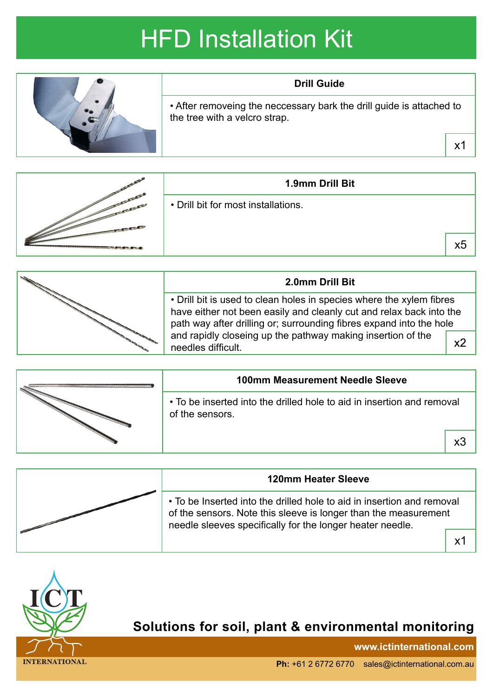## HFD Installation Kit



|  | 1.9mm Drill Bit                     |    |
|--|-------------------------------------|----|
|  | • Drill bit for most installations. |    |
|  |                                     | х5 |

| 2.0mm Drill Bit                                                                                                                                                                                                    |    |
|--------------------------------------------------------------------------------------------------------------------------------------------------------------------------------------------------------------------|----|
| • Drill bit is used to clean holes in species where the xylem fibres<br>have either not been easily and cleanly cut and relax back into the<br>path way after drilling or; surrounding fibres expand into the hole |    |
| and rapidly closeing up the pathway making insertion of the<br>needles difficult.                                                                                                                                  | х2 |

|  | <b>100mm Measurement Needle Sleeve</b>                                                    |    |
|--|-------------------------------------------------------------------------------------------|----|
|  | • To be inserted into the drilled hole to aid in insertion and removal<br>of the sensors. |    |
|  |                                                                                           | х3 |
|  |                                                                                           |    |

| <b>120mm Heater Sleeve</b>                                                                                                                                                                             |    |
|--------------------------------------------------------------------------------------------------------------------------------------------------------------------------------------------------------|----|
| • To be Inserted into the drilled hole to aid in insertion and removal<br>of the sensors. Note this sleeve is longer than the measurement<br>needle sleeves specifically for the longer heater needle. |    |
|                                                                                                                                                                                                        | Υ1 |



## **Solutions for soil, plant & environmental monitoring**

**www.ictinternational.com**